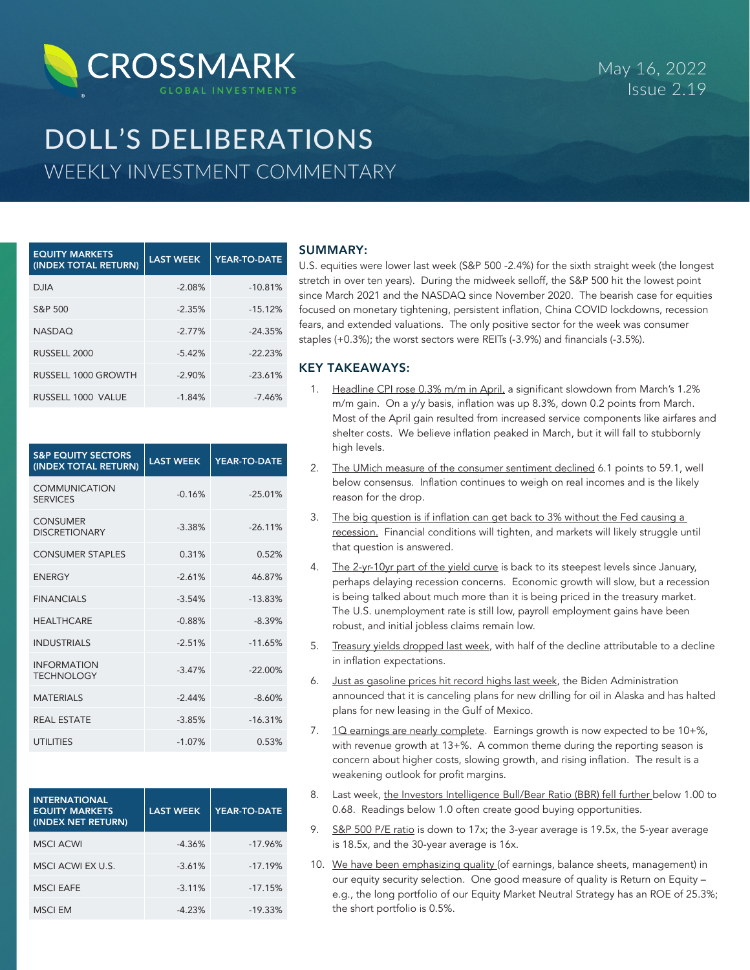

# DOLL'S DELIBERATIONS WEEKLY INVESTMENT COMMENTARY

| <b>EQUITY MARKETS</b><br>(INDEX TOTAL RETURN) | <b>LAST WEEK</b> | YEAR-TO-DATE |
|-----------------------------------------------|------------------|--------------|
| <b>DJIA</b>                                   | $-2.08%$         | $-10.81%$    |
| S&P 500                                       | $-2.35%$         | $-15.12%$    |
| <b>NASDAQ</b>                                 | $-2.77%$         | $-24.35%$    |
| RUSSELL 2000                                  | $-5.42%$         | $-22.23%$    |
| RUSSELL 1000 GROWTH                           | $-2.90%$         | $-23.61%$    |
| RUSSELL 1000 VALUE                            | $-1.84%$         | $-7.46%$     |

| <b>S&amp;P EQUITY SECTORS</b><br>(INDEX TOTAL RETURN) | <b>LAST WEEK</b> | <b>YEAR-TO-DATE</b> |
|-------------------------------------------------------|------------------|---------------------|
| <b>COMMUNICATION</b><br><b>SERVICES</b>               | $-0.16%$         | $-25.01%$           |
| <b>CONSUMER</b><br><b>DISCRETIONARY</b>               | $-3.38%$         | $-26.11%$           |
| <b>CONSUMER STAPLES</b>                               | 0.31%            | 0.52%               |
| <b>FNFRGY</b>                                         | $-2.61%$         | 46.87%              |
| <b>FINANCIALS</b>                                     | $-3.54%$         | $-13.83%$           |
| <b>HEALTHCARE</b>                                     | $-0.88%$         | $-8.39%$            |
| <b>INDUSTRIALS</b>                                    | $-2.51%$         | $-11.65%$           |
| <b>INFORMATION</b><br><b>TECHNOLOGY</b>               | $-3.47%$         | $-22.00%$           |
| <b>MATFRIALS</b>                                      | $-2.44%$         | $-8.60%$            |
| <b>REAL ESTATE</b>                                    | $-3.85%$         | $-16.31%$           |
| <b>UTILITIES</b>                                      | $-1.07%$         | 0.53%               |

| <b>INTERNATIONAL</b><br><b>EQUITY MARKETS</b><br>(INDEX NET RETURN) | <b>LAST WEEK</b> | YEAR-TO-DATE |
|---------------------------------------------------------------------|------------------|--------------|
| <b>MSCI ACWI</b>                                                    | $-4.36%$         | $-17.96%$    |
| MSCI ACWI EX U.S.                                                   | $-3.61%$         | $-17.19%$    |
| <b>MSCI EAFE</b>                                                    | $-3.11%$         | $-17.15%$    |
| <b>MSCI EM</b>                                                      | $-4.23%$         | $-19.33%$    |

## SUMMARY:

U.S. equities were lower last week (S&P 500 -2.4%) for the sixth straight week (the longest stretch in over ten years). During the midweek selloff, the S&P 500 hit the lowest point since March 2021 and the NASDAQ since November 2020. The bearish case for equities focused on monetary tightening, persistent inflation, China COVID lockdowns, recession fears, and extended valuations. The only positive sector for the week was consumer staples (+0.3%); the worst sectors were REITs (-3.9%) and financials (-3.5%).

# KEY TAKEAWAYS:

- 1. Headline CPI rose 0.3% m/m in April, a significant slowdown from March's 1.2% m/m gain. On a y/y basis, inflation was up 8.3%, down 0.2 points from March. Most of the April gain resulted from increased service components like airfares and shelter costs. We believe inflation peaked in March, but it will fall to stubbornly high levels.
- 2. The UMich measure of the consumer sentiment declined 6.1 points to 59.1, well below consensus. Inflation continues to weigh on real incomes and is the likely reason for the drop.
- 3. The big question is if inflation can get back to 3% without the Fed causing a recession. Financial conditions will tighten, and markets will likely struggle until that question is answered.
- 4. The 2-yr-10yr part of the yield curve is back to its steepest levels since January, perhaps delaying recession concerns. Economic growth will slow, but a recession is being talked about much more than it is being priced in the treasury market. The U.S. unemployment rate is still low, payroll employment gains have been robust, and initial jobless claims remain low.
- 5. Treasury yields dropped last week, with half of the decline attributable to a decline in inflation expectations.
- 6. Just as gasoline prices hit record highs last week, the Biden Administration announced that it is canceling plans for new drilling for oil in Alaska and has halted plans for new leasing in the Gulf of Mexico.
- 7. 1Q earnings are nearly complete. Earnings growth is now expected to be 10+%, with revenue growth at 13+%. A common theme during the reporting season is concern about higher costs, slowing growth, and rising inflation. The result is a weakening outlook for profit margins.
- 8. Last week, the Investors Intelligence Bull/Bear Ratio (BBR) fell further below 1.00 to 0.68. Readings below 1.0 often create good buying opportunities.
- 9. S&P 500 P/E ratio is down to 17x; the 3-year average is 19.5x, the 5-year average is 18.5x, and the 30-year average is 16x.
- 10. We have been emphasizing quality (of earnings, balance sheets, management) in our equity security selection. One good measure of quality is Return on Equity – e.g., the long portfolio of our Equity Market Neutral Strategy has an ROE of 25.3%; the short portfolio is 0.5%.